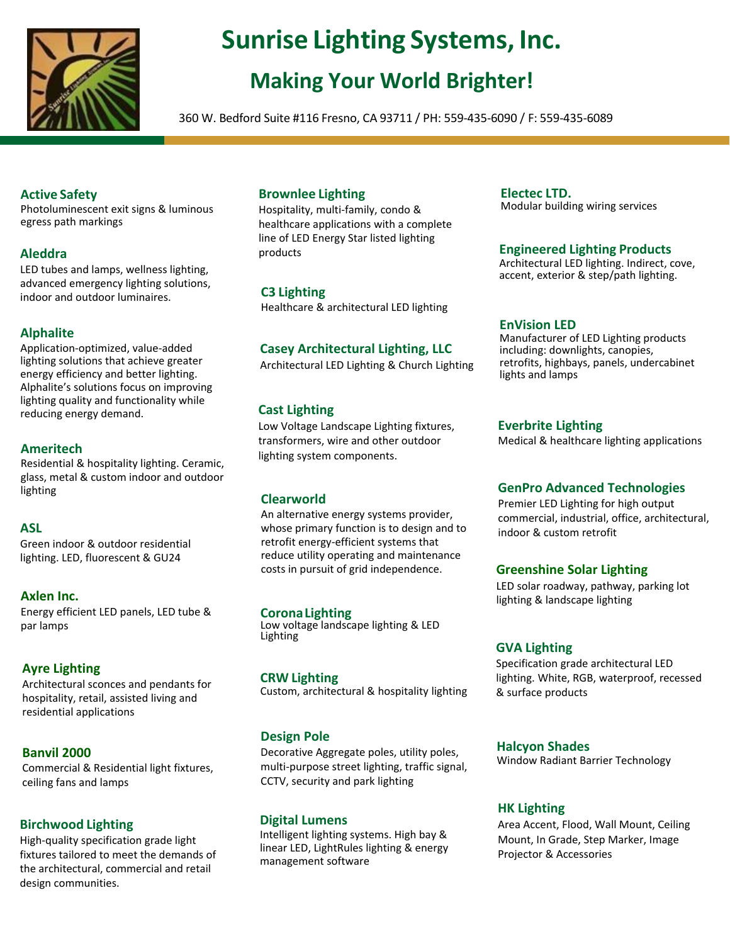

# **Sunrise Lighting Systems, Inc.**

# **Making Your World Brighter!**

360 W. Bedford Suite #116 Fresno, CA 93711 / PH: 559-435-6090 / F: 559-435-6089

# **Active Safety**

Photoluminescent exit signs & luminous egress path markings

# **Aleddra**

LED tubes and lamps, wellness lighting, advanced emergency lighting solutions, indoor and outdoor luminaires.

# **Alphalite**

Application-optimized, value-added lighting solutions that achieve greater energy efficiency and better lighting. Alphalite's solutions focus on improving lighting quality and functionality while reducing energy demand.

# **Ameritech**

Residential & hospitality lighting. Ceramic, glass, metal & custom indoor and outdoor lighting

# **ASL**

Green indoor & outdoor residential lighting. LED, fluorescent & GU24

## **Axlen Inc.**

Energy efficient LED panels, LED tube & par lamps

# **Ayre Lighting**

Architectural sconces and pendants for hospitality, retail, assisted living and residential applications

## **Banvil 2000**

Commercial & Residential light fixtures, ceiling fans and lamps

# **Birchwood Lighting**

High-quality specification grade light fixtures tailored to meet the demands of the architectural, commercial and retail design communities.

# **Brownlee Lighting**

Hospitality, multi-family, condo & healthcare applications with a complete line of LED Energy Star listed lighting products

## **C3 Lighting**

Healthcare & architectural LED lighting

# **Casey Architectural Lighting, LLC**

Architectural LED Lighting & Church Lighting

# **Cast Lighting**

Low Voltage Landscape Lighting fixtures, transformers, wire and other outdoor lighting system components.

## **Clearworld**

An alternative energy systems provider, whose primary function is to design and to retrofit energy-efficient systems that reduce utility operating and maintenance costs in pursuit of grid independence.

### **Corona Lighting**

Low voltage landscape lighting & LED Lighting

## **CRW Lighting**

Custom, architectural & hospitality lighting

## **Design Pole**

Decorative Aggregate poles, utility poles, multi-purpose street lighting, traffic signal, CCTV, security and park lighting

### **Digital Lumens**

Intelligent lighting systems. High bay & linear LED, LightRules lighting & energy management software

#### **Electec LTD.** Modular building wiring services

### **Engineered Lighting Products**

Architectural LED lighting. Indirect, cove, accent, exterior & step/path lighting.

### **EnVision LED**

Manufacturer of LED Lighting products including: downlights, canopies, retrofits, highbays, panels, undercabinet lights and lamps

### **Everbrite Lighting**

Medical & healthcare lighting applications

## **GenPro Advanced Technologies**

Premier LED Lighting for high output commercial, industrial, office, architectural, indoor & custom retrofit

## **Greenshine Solar Lighting**

LED solar roadway, pathway, parking lot lighting & landscape lighting

### **GVA Lighting**

Specification grade architectural LED lighting. White, RGB, waterproof, recessed & surface products

### **Halcyon Shades**

Window Radiant Barrier Technology

### **HK Lighting**

Area Accent, Flood, Wall Mount, Ceiling Mount, In Grade, Step Marker, Image Projector & Accessories